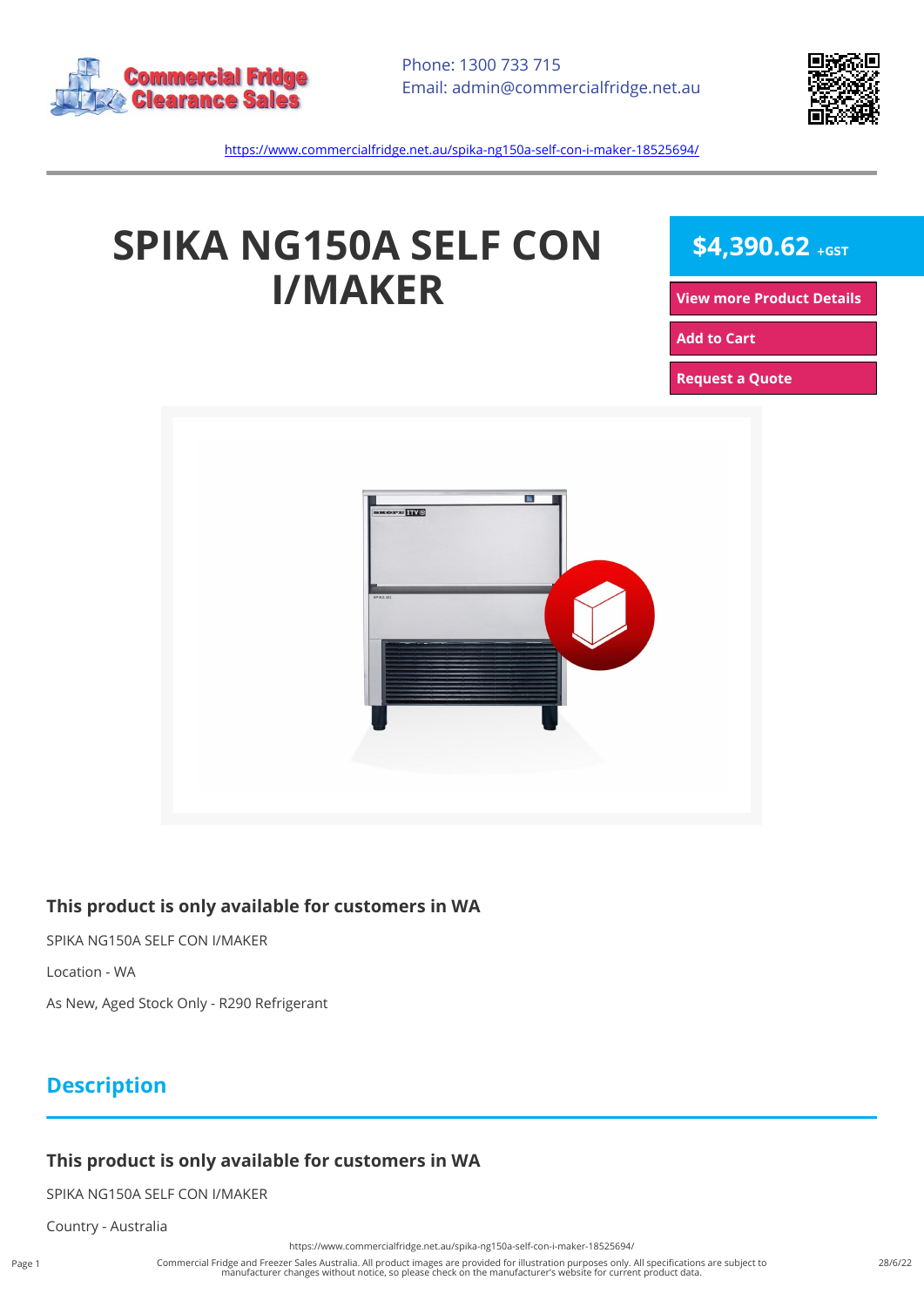



<https://www.commercialfridge.net.au/spika-ng150a-self-con-i-maker-18525694/>

# **SPIKA NG150A SELF CON I/MAKER**

 $$4,390.62$  +GST

**[View more Product Details](https://www.commercialfridge.net.au/spika-ng150a-self-con-i-maker-18525694/)**

**[Add to Cart](https://www.commercialfridge.net.au/spika-ng150a-self-con-i-maker-18525694/?addtocart=1)** 

**[Request a Quote](https://www.commercialfridge.net.au/spika-ng150a-self-con-i-maker-18525694/?requestaquote=1)** 



#### **This product is only available for customers in WA**

SPIKA NG150A SELF CON I/MAKER

Location - WA

As New, Aged Stock Only - R290 Refrigerant

### **Description**

#### **This product is only available for customers in WA**

SPIKA NG150A SELF CON I/MAKER

Country - Australia